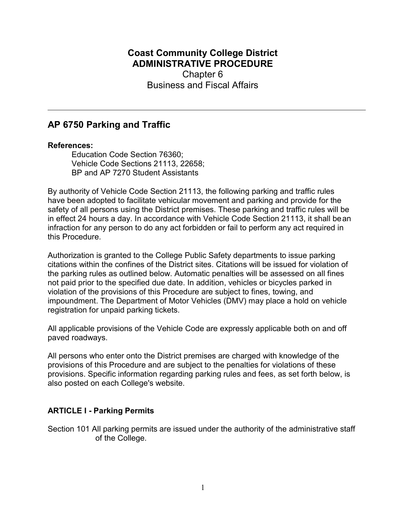## Coast Community College District ADMINISTRATIVE PROCEDURE Chapter 6 Business and Fiscal Affairs

# AP 6750 Parking and Traffic

#### References:

Education Code Section 76360; Vehicle Code Sections 21113, 22658; BP and AP 7270 Student Assistants

By authority of Vehicle Code Section 21113, the following parking and traffic rules have been adopted to facilitate vehicular movement and parking and provide for the safety of all persons using the District premises. These parking and traffic rules will be in effect 24 hours a day. In accordance with Vehicle Code Section 21113, it shall be an infraction for any person to do any act forbidden or fail to perform any act required in this Procedure.

Authorization is granted to the College Public Safety departments to issue parking citations within the confines of the District sites. Citations will be issued for violation of the parking rules as outlined below. Automatic penalties will be assessed on all fines not paid prior to the specified due date. In addition, vehicles or bicycles parked in violation of the provisions of this Procedure are subject to fines, towing, and impoundment. The Department of Motor Vehicles (DMV) may place a hold on vehicle registration for unpaid parking tickets.

All applicable provisions of the Vehicle Code are expressly applicable both on and off paved roadways.

All persons who enter onto the District premises are charged with knowledge of the provisions of this Procedure and are subject to the penalties for violations of these provisions. Specific information regarding parking rules and fees, as set forth below, is also posted on each College's website.

### ARTICLE I - Parking Permits

Section 101 All parking permits are issued under the authority of the administrative staff of the College.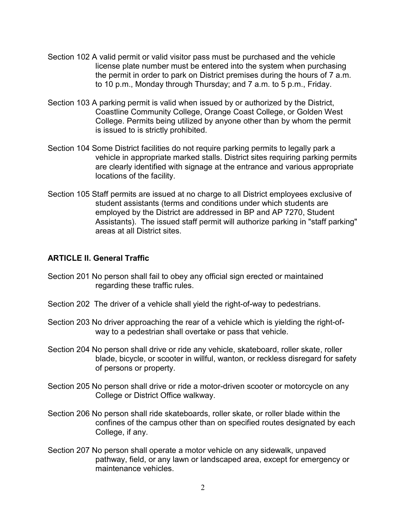- Section 102 A valid permit or valid visitor pass must be purchased and the vehicle license plate number must be entered into the system when purchasing the permit in order to park on District premises during the hours of 7 a.m. to 10 p.m., Monday through Thursday; and 7 a.m. to 5 p.m., Friday.
- Section 103 A parking permit is valid when issued by or authorized by the District, Coastline Community College, Orange Coast College, or Golden West College. Permits being utilized by anyone other than by whom the permit is issued to is strictly prohibited.
- Section 104 Some District facilities do not require parking permits to legally park a vehicle in appropriate marked stalls. District sites requiring parking permits are clearly identified with signage at the entrance and various appropriate locations of the facility.
- Section 105 Staff permits are issued at no charge to all District employees exclusive of student assistants (terms and conditions under which students are employed by the District are addressed in BP and AP 7270, Student Assistants). The issued staff permit will authorize parking in "staff parking" areas at all District sites.

#### ARTICLE II. General Traffic

- Section 201 No person shall fail to obey any official sign erected or maintained regarding these traffic rules.
- Section 202 The driver of a vehicle shall yield the right-of-way to pedestrians.
- Section 203 No driver approaching the rear of a vehicle which is yielding the right-ofway to a pedestrian shall overtake or pass that vehicle.
- Section 204 No person shall drive or ride any vehicle, skateboard, roller skate, roller blade, bicycle, or scooter in willful, wanton, or reckless disregard for safety of persons or property.
- Section 205 No person shall drive or ride a motor-driven scooter or motorcycle on any College or District Office walkway.
- Section 206 No person shall ride skateboards, roller skate, or roller blade within the confines of the campus other than on specified routes designated by each College, if any.
- Section 207 No person shall operate a motor vehicle on any sidewalk, unpaved pathway, field, or any lawn or landscaped area, except for emergency or maintenance vehicles.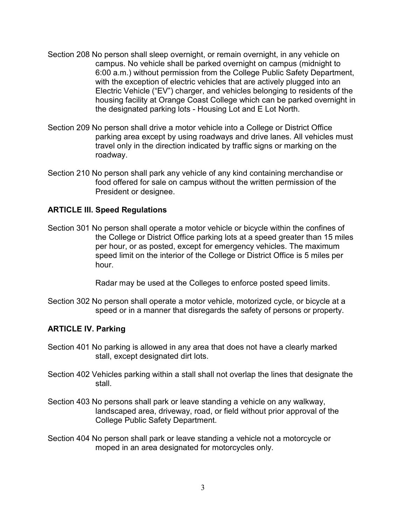- Section 208 No person shall sleep overnight, or remain overnight, in any vehicle on campus. No vehicle shall be parked overnight on campus (midnight to 6:00 a.m.) without permission from the College Public Safety Department, with the exception of electric vehicles that are actively plugged into an Electric Vehicle ("EV") charger, and vehicles belonging to residents of the housing facility at Orange Coast College which can be parked overnight in the designated parking lots - Housing Lot and E Lot North.
- Section 209 No person shall drive a motor vehicle into a College or District Office parking area except by using roadways and drive lanes. All vehicles must travel only in the direction indicated by traffic signs or marking on the roadway.
- Section 210 No person shall park any vehicle of any kind containing merchandise or food offered for sale on campus without the written permission of the President or designee.

#### ARTICLE III. Speed Regulations

Section 301 No person shall operate a motor vehicle or bicycle within the confines of the College or District Office parking lots at a speed greater than 15 miles per hour, or as posted, except for emergency vehicles. The maximum speed limit on the interior of the College or District Office is 5 miles per hour.

Radar may be used at the Colleges to enforce posted speed limits.

Section 302 No person shall operate a motor vehicle, motorized cycle, or bicycle at a speed or in a manner that disregards the safety of persons or property.

#### ARTICLE IV. Parking

- Section 401 No parking is allowed in any area that does not have a clearly marked stall, except designated dirt lots.
- Section 402 Vehicles parking within a stall shall not overlap the lines that designate the stall.
- Section 403 No persons shall park or leave standing a vehicle on any walkway, landscaped area, driveway, road, or field without prior approval of the College Public Safety Department.
- Section 404 No person shall park or leave standing a vehicle not a motorcycle or moped in an area designated for motorcycles only.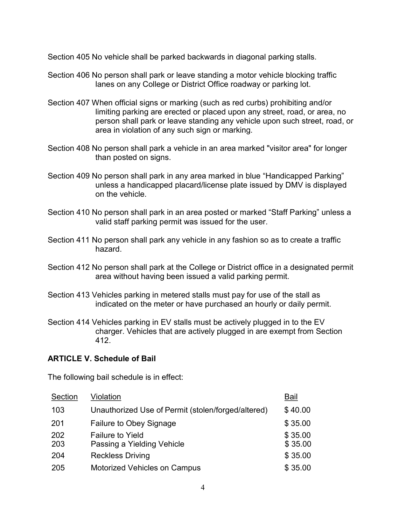Section 405 No vehicle shall be parked backwards in diagonal parking stalls.

- Section 406 No person shall park or leave standing a motor vehicle blocking traffic lanes on any College or District Office roadway or parking lot.
- Section 407 When official signs or marking (such as red curbs) prohibiting and/or limiting parking are erected or placed upon any street, road, or area, no person shall park or leave standing any vehicle upon such street, road, or area in violation of any such sign or marking.
- Section 408 No person shall park a vehicle in an area marked "visitor area" for longer than posted on signs.
- Section 409 No person shall park in any area marked in blue "Handicapped Parking" unless a handicapped placard/license plate issued by DMV is displayed on the vehicle.
- Section 410 No person shall park in an area posted or marked "Staff Parking" unless a valid staff parking permit was issued for the user.
- Section 411 No person shall park any vehicle in any fashion so as to create a traffic hazard.
- Section 412 No person shall park at the College or District office in a designated permit area without having been issued a valid parking permit.
- Section 413 Vehicles parking in metered stalls must pay for use of the stall as indicated on the meter or have purchased an hourly or daily permit.
- Section 414 Vehicles parking in EV stalls must be actively plugged in to the EV charger. Vehicles that are actively plugged in are exempt from Section 412.

#### ARTICLE V. Schedule of Bail

The following bail schedule is in effect:

| Section    | Violation                                             | Bail               |
|------------|-------------------------------------------------------|--------------------|
| 103        | Unauthorized Use of Permit (stolen/forged/altered)    | \$40.00            |
| 201        | Failure to Obey Signage                               | \$35.00            |
| 202<br>203 | <b>Failure to Yield</b><br>Passing a Yielding Vehicle | \$35.00<br>\$35.00 |
| 204        | <b>Reckless Driving</b>                               | \$35.00            |
| 205        | <b>Motorized Vehicles on Campus</b>                   | \$35.00            |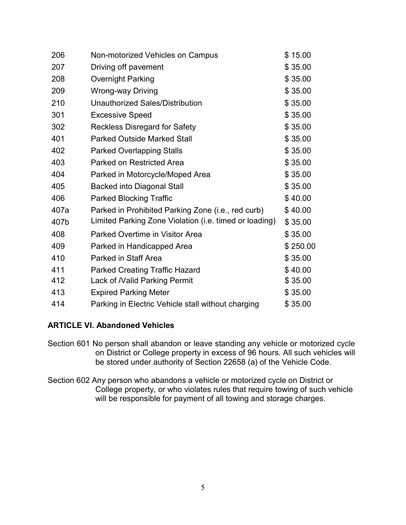| 206  | Non-motorized Vehicles on Campus                       | \$15.00  |
|------|--------------------------------------------------------|----------|
| 207  | Driving off pavement                                   | \$35.00  |
| 208  | <b>Overnight Parking</b>                               | \$35.00  |
| 209  | <b>Wrong-way Driving</b>                               | \$35.00  |
| 210  | Unauthorized Sales/Distribution                        | \$35.00  |
| 301  | <b>Excessive Speed</b>                                 | \$35.00  |
| 302  | <b>Reckless Disregard for Safety</b>                   | \$35.00  |
| 401  | <b>Parked Outside Marked Stall</b>                     | \$35.00  |
| 402  | <b>Parked Overlapping Stalls</b>                       | \$35.00  |
| 403  | <b>Parked on Restricted Area</b>                       | \$35.00  |
| 404  | Parked in Motorcycle/Moped Area                        | \$35.00  |
| 405  | <b>Backed into Diagonal Stall</b>                      | \$35.00  |
| 406  | <b>Parked Blocking Traffic</b>                         | \$40.00  |
| 407a | Parked in Prohibited Parking Zone (i.e., red curb)     | \$40.00  |
| 407b | Limited Parking Zone Violation (i.e. timed or loading) | \$35.00  |
| 408  | <b>Parked Overtime in Visitor Area</b>                 | \$35.00  |
| 409  | Parked in Handicapped Area                             | \$250.00 |
| 410  | Parked in Staff Area                                   | \$35.00  |
| 411  | <b>Parked Creating Traffic Hazard</b>                  | \$40.00  |
| 412  | Lack of <i>Nalid Parking Permit</i>                    | \$35.00  |
| 413  | <b>Expired Parking Meter</b>                           | \$35.00  |
| 414  | Parking in Electric Vehicle stall without charging     | \$35.00  |

### ARTICLE VI. Abandoned Vehicles

- Section 601 No person shall abandon or leave standing any vehicle or motorized cycle on District or College property in excess of 96 hours. All such vehicles will be stored under authority of Section 22658 (a) of the Vehicle Code.
- Section 602 Any person who abandons a vehicle or motorized cycle on District or College property, or who violates rules that require towing of such vehicle will be responsible for payment of all towing and storage charges.